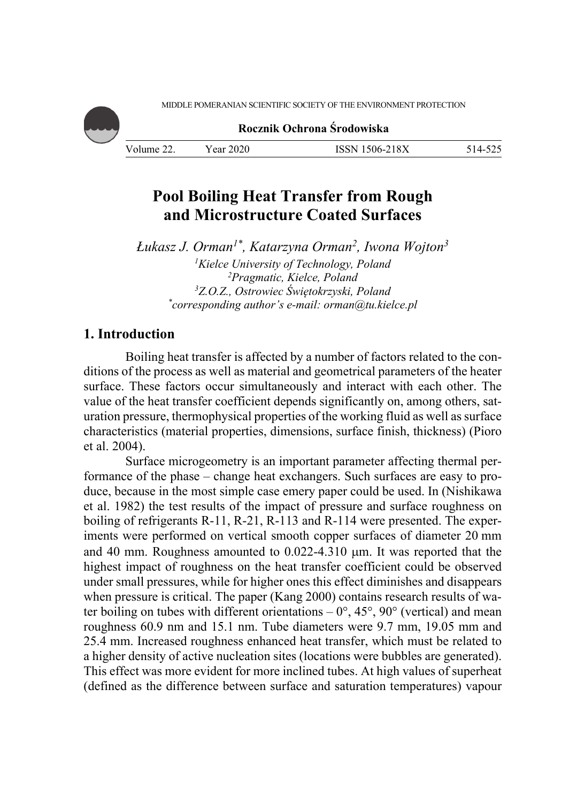MIDDLE POMERANIAN SCIENTIFIC SOCIETY OF THE ENVIRONMENT PROTECTION



**Rocznik Ochrona Środowiska**

| Volume 22. | Year 2020 | ISSN 1506-218X |  |
|------------|-----------|----------------|--|

# **Pool Boiling Heat Transfer from Rough and Microstructure Coated Surfaces**

*Łukasz J. Orman1\*, Katarzyna Orman2, Iwona Wojton3* <sup>*I*</sup>Kielce University of Technology, Poland<br><sup>2</sup>Pragmatic Kielce Poland <sup>2</sup>Pragmatic, Kielce, Poland<br><sup>3</sup>7 O 7 Ostrowiec Świętokrzyski 1 *Z.O.Z., Ostrowiec Świętokrzyski, Poland \* corresponding author's e-mail: orman@tu.kielce.pl* 

## **1. Introduction**

Boiling heat transfer is affected by a number of factors related to the conditions of the process as well as material and geometrical parameters of the heater surface. These factors occur simultaneously and interact with each other. The value of the heat transfer coefficient depends significantly on, among others, saturation pressure, thermophysical properties of the working fluid as well as surface characteristics (material properties, dimensions, surface finish, thickness) (Pioro et al. 2004).

Surface microgeometry is an important parameter affecting thermal performance of the phase – change heat exchangers. Such surfaces are easy to produce, because in the most simple case emery paper could be used. In (Nishikawa et al. 1982) the test results of the impact of pressure and surface roughness on boiling of refrigerants R-11, R-21, R-113 and R-114 were presented. The experiments were performed on vertical smooth copper surfaces of diameter 20 mm and 40 mm. Roughness amounted to 0.022-4.310 µm. It was reported that the highest impact of roughness on the heat transfer coefficient could be observed under small pressures, while for higher ones this effect diminishes and disappears when pressure is critical. The paper (Kang 2000) contains research results of water boiling on tubes with different orientations  $-0^{\circ}$ , 45°, 90° (vertical) and mean roughness 60.9 nm and 15.1 nm. Tube diameters were 9.7 mm, 19.05 mm and 25.4 mm. Increased roughness enhanced heat transfer, which must be related to a higher density of active nucleation sites (locations were bubbles are generated). This effect was more evident for more inclined tubes. At high values of superheat (defined as the difference between surface and saturation temperatures) vapour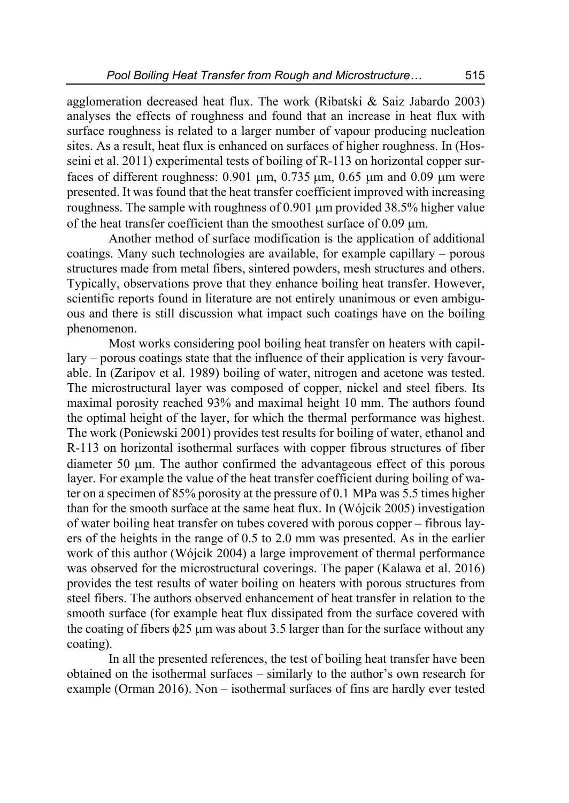agglomeration decreased heat flux. The work (Ribatski & Saiz Jabardo 2003) analyses the effects of roughness and found that an increase in heat flux with surface roughness is related to a larger number of vapour producing nucleation sites. As a result, heat flux is enhanced on surfaces of higher roughness. In (Hosseini et al. 2011) experimental tests of boiling of R-113 on horizontal copper surfaces of different roughness:  $0.901 \mu m$ ,  $0.735 \mu m$ ,  $0.65 \mu m$  and  $0.09 \mu m$  were presented. It was found that the heat transfer coefficient improved with increasing roughness. The sample with roughness of  $0.901 \mu m$  provided 38.5% higher value of the heat transfer coefficient than the smoothest surface of 0.09 m.

Another method of surface modification is the application of additional coatings. Many such technologies are available, for example capillary – porous structures made from metal fibers, sintered powders, mesh structures and others. Typically, observations prove that they enhance boiling heat transfer. However, scientific reports found in literature are not entirely unanimous or even ambiguous and there is still discussion what impact such coatings have on the boiling phenomenon.

Most works considering pool boiling heat transfer on heaters with capillary – porous coatings state that the influence of their application is very favourable. In (Zaripov et al. 1989) boiling of water, nitrogen and acetone was tested. The microstructural layer was composed of copper, nickel and steel fibers. Its maximal porosity reached 93% and maximal height 10 mm. The authors found the optimal height of the layer, for which the thermal performance was highest. The work (Poniewski 2001) provides test results for boiling of water, ethanol and R-113 on horizontal isothermal surfaces with copper fibrous structures of fiber diameter 50 um. The author confirmed the advantageous effect of this porous layer. For example the value of the heat transfer coefficient during boiling of water on a specimen of 85% porosity at the pressure of 0.1 MPa was 5.5 times higher than for the smooth surface at the same heat flux. In (Wójcik 2005) investigation of water boiling heat transfer on tubes covered with porous copper – fibrous layers of the heights in the range of 0.5 to 2.0 mm was presented. As in the earlier work of this author (Wójcik 2004) a large improvement of thermal performance was observed for the microstructural coverings. The paper (Kalawa et al. 2016) provides the test results of water boiling on heaters with porous structures from steel fibers. The authors observed enhancement of heat transfer in relation to the smooth surface (for example heat flux dissipated from the surface covered with the coating of fibers  $\phi$ 25 µm was about 3.5 larger than for the surface without any coating).

In all the presented references, the test of boiling heat transfer have been obtained on the isothermal surfaces – similarly to the author's own research for example (Orman 2016). Non – isothermal surfaces of fins are hardly ever tested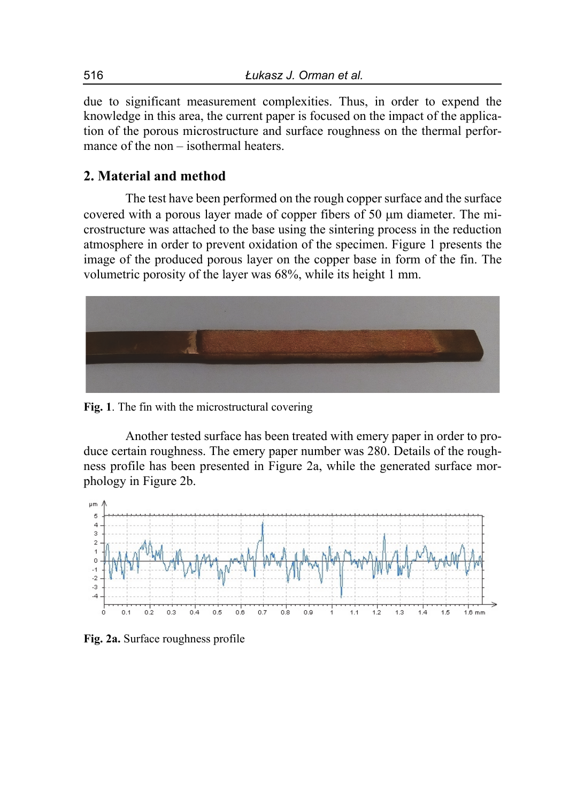due to significant measurement complexities. Thus, in order to expend the knowledge in this area, the current paper is focused on the impact of the application of the porous microstructure and surface roughness on the thermal performance of the non – isothermal heaters.

## **2. Material and method**

The test have been performed on the rough copper surface and the surface covered with a porous layer made of copper fibers of 50  $\mu$ m diameter. The microstructure was attached to the base using the sintering process in the reduction atmosphere in order to prevent oxidation of the specimen. Figure 1 presents the image of the produced porous layer on the copper base in form of the fin. The volumetric porosity of the layer was 68%, while its height 1 mm.



**Fig. 1**. The fin with the microstructural covering

Another tested surface has been treated with emery paper in order to produce certain roughness. The emery paper number was 280. Details of the roughness profile has been presented in Figure 2a, while the generated surface morphology in Figure 2b.



**Fig. 2a.** Surface roughness profile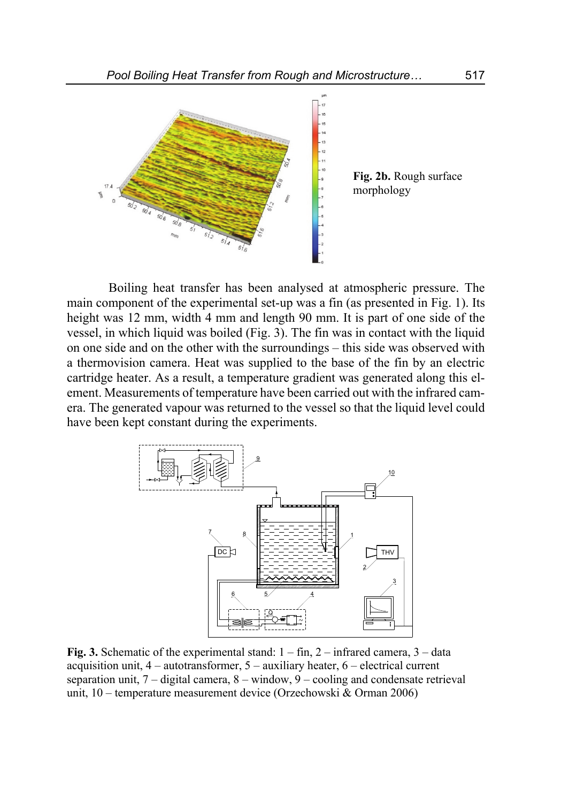

Boiling heat transfer has been analysed at atmospheric pressure. The main component of the experimental set-up was a fin (as presented in Fig. 1). Its height was 12 mm, width 4 mm and length 90 mm. It is part of one side of the vessel, in which liquid was boiled (Fig. 3). The fin was in contact with the liquid on one side and on the other with the surroundings – this side was observed with a thermovision camera. Heat was supplied to the base of the fin by an electric cartridge heater. As a result, a temperature gradient was generated along this element. Measurements of temperature have been carried out with the infrared camera. The generated vapour was returned to the vessel so that the liquid level could have been kept constant during the experiments.



**Fig. 3.** Schematic of the experimental stand: 1 – fin, 2 – infrared camera, 3 – data acquisition unit, 4 – autotransformer, 5 – auxiliary heater, 6 – electrical current separation unit, 7 – digital camera, 8 – window, 9 – cooling and condensate retrieval unit, 10 – temperature measurement device (Orzechowski & Orman 2006)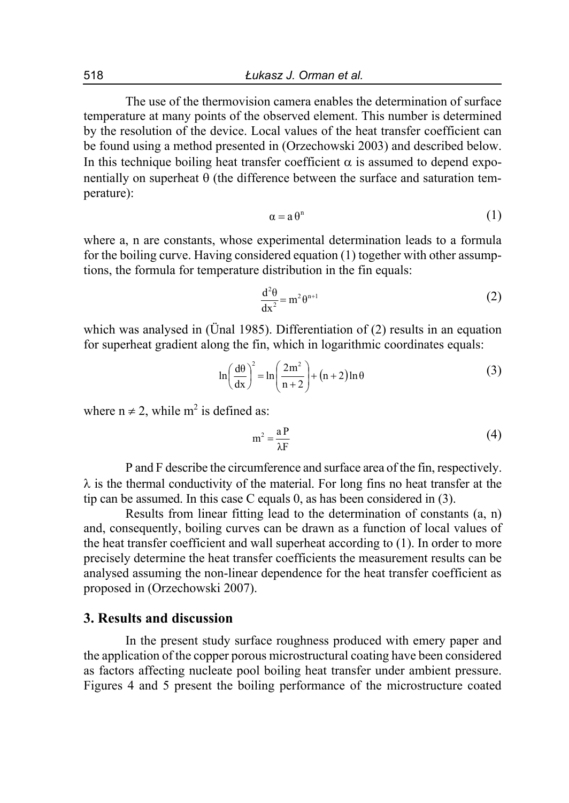The use of the thermovision camera enables the determination of surface temperature at many points of the observed element. This number is determined by the resolution of the device. Local values of the heat transfer coefficient can be found using a method presented in (Orzechowski 2003) and described below. In this technique boiling heat transfer coefficient  $\alpha$  is assumed to depend exponentially on superheat  $\theta$  (the difference between the surface and saturation temperature):

$$
\alpha = a \theta^n \tag{1}
$$

where a, n are constants, whose experimental determination leads to a formula for the boiling curve. Having considered equation (1) together with other assumptions, the formula for temperature distribution in the fin equals:

$$
\frac{d^2\theta}{dx^2} = m^2 \theta^{n+1}
$$
 (2)

which was analysed in (Unal 1985). Differentiation of (2) results in an equation for superheat gradient along the fin, which in logarithmic coordinates equals:

$$
\ln\left(\frac{d\theta}{dx}\right)^2 = \ln\left(\frac{2m^2}{n+2}\right) + (n+2)\ln\theta\tag{3}
$$

where  $n \neq 2$ , while  $m^2$  is defined as:

$$
m^2 = \frac{aP}{\lambda F} \tag{4}
$$

P and F describe the circumference and surface area of the fin, respectively.  $\lambda$  is the thermal conductivity of the material. For long fins no heat transfer at the tip can be assumed. In this case C equals 0, as has been considered in (3).

Results from linear fitting lead to the determination of constants (a, n) and, consequently, boiling curves can be drawn as a function of local values of the heat transfer coefficient and wall superheat according to (1). In order to more precisely determine the heat transfer coefficients the measurement results can be analysed assuming the non-linear dependence for the heat transfer coefficient as proposed in (Orzechowski 2007).

### **3. Results and discussion**

In the present study surface roughness produced with emery paper and the application of the copper porous microstructural coating have been considered as factors affecting nucleate pool boiling heat transfer under ambient pressure. Figures 4 and 5 present the boiling performance of the microstructure coated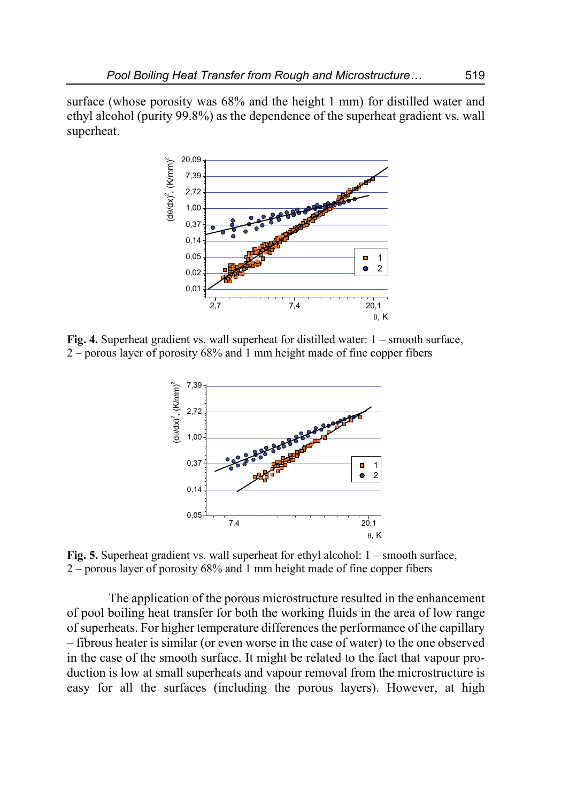surface (whose porosity was 68% and the height 1 mm) for distilled water and ethyl alcohol (purity 99.8%) as the dependence of the superheat gradient vs. wall superheat.



**Fig. 4.** Superheat gradient vs. wall superheat for distilled water: 1 – smooth surface, 2 – porous layer of porosity 68% and 1 mm height made of fine copper fibers



**Fig. 5.** Superheat gradient vs. wall superheat for ethyl alcohol: 1 – smooth surface, 2 – porous layer of porosity 68% and 1 mm height made of fine copper fibers

The application of the porous microstructure resulted in the enhancement of pool boiling heat transfer for both the working fluids in the area of low range of superheats. For higher temperature differences the performance of the capillary – fibrous heater is similar (or even worse in the case of water) to the one observed in the case of the smooth surface. It might be related to the fact that vapour production is low at small superheats and vapour removal from the microstructure is easy for all the surfaces (including the porous layers). However, at high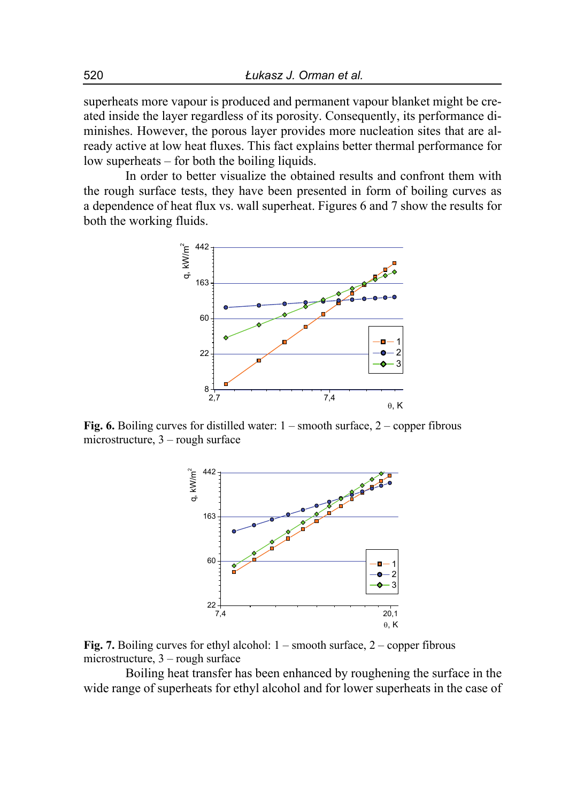superheats more vapour is produced and permanent vapour blanket might be created inside the layer regardless of its porosity. Consequently, its performance diminishes. However, the porous layer provides more nucleation sites that are already active at low heat fluxes. This fact explains better thermal performance for low superheats – for both the boiling liquids.

In order to better visualize the obtained results and confront them with the rough surface tests, they have been presented in form of boiling curves as a dependence of heat flux vs. wall superheat. Figures 6 and 7 show the results for both the working fluids.



**Fig. 6.** Boiling curves for distilled water: 1 – smooth surface, 2 – copper fibrous microstructure, 3 – rough surface



**Fig. 7.** Boiling curves for ethyl alcohol: 1 – smooth surface, 2 – copper fibrous microstructure, 3 – rough surface

Boiling heat transfer has been enhanced by roughening the surface in the wide range of superheats for ethyl alcohol and for lower superheats in the case of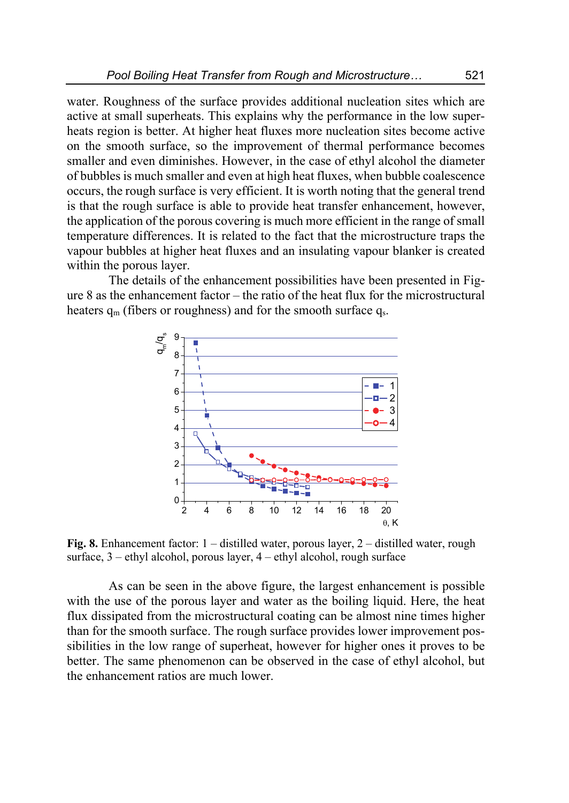water. Roughness of the surface provides additional nucleation sites which are active at small superheats. This explains why the performance in the low superheats region is better. At higher heat fluxes more nucleation sites become active on the smooth surface, so the improvement of thermal performance becomes smaller and even diminishes. However, in the case of ethyl alcohol the diameter of bubbles is much smaller and even at high heat fluxes, when bubble coalescence occurs, the rough surface is very efficient. It is worth noting that the general trend is that the rough surface is able to provide heat transfer enhancement, however, the application of the porous covering is much more efficient in the range of small temperature differences. It is related to the fact that the microstructure traps the vapour bubbles at higher heat fluxes and an insulating vapour blanker is created within the porous layer.

The details of the enhancement possibilities have been presented in Figure 8 as the enhancement factor – the ratio of the heat flux for the microstructural heaters  $q_m$  (fibers or roughness) and for the smooth surface  $q_s$ .



**Fig. 8.** Enhancement factor: 1 – distilled water, porous layer, 2 – distilled water, rough surface,  $3$  – ethyl alcohol, porous layer,  $4$  – ethyl alcohol, rough surface

As can be seen in the above figure, the largest enhancement is possible with the use of the porous layer and water as the boiling liquid. Here, the heat flux dissipated from the microstructural coating can be almost nine times higher than for the smooth surface. The rough surface provides lower improvement possibilities in the low range of superheat, however for higher ones it proves to be better. The same phenomenon can be observed in the case of ethyl alcohol, but the enhancement ratios are much lower.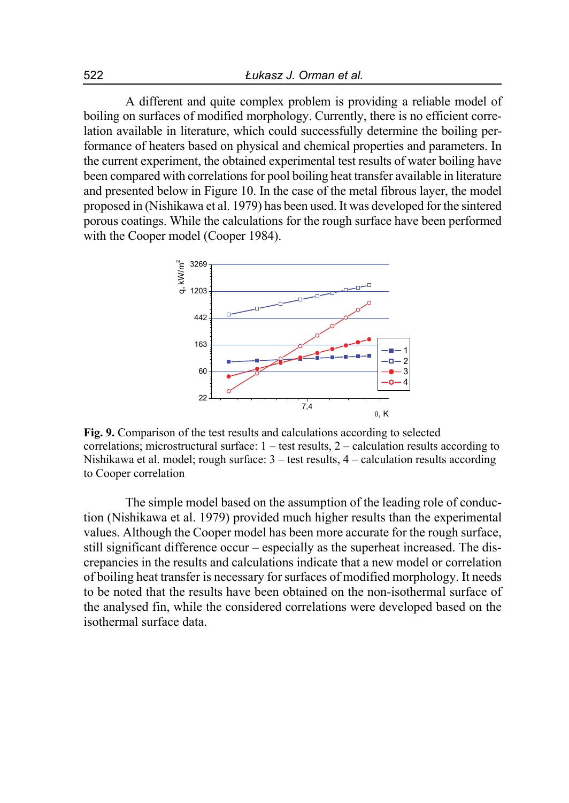A different and quite complex problem is providing a reliable model of boiling on surfaces of modified morphology. Currently, there is no efficient correlation available in literature, which could successfully determine the boiling performance of heaters based on physical and chemical properties and parameters. In the current experiment, the obtained experimental test results of water boiling have been compared with correlations for pool boiling heat transfer available in literature and presented below in Figure 10. In the case of the metal fibrous layer, the model proposed in (Nishikawa et al. 1979) has been used. It was developed for the sintered porous coatings. While the calculations for the rough surface have been performed with the Cooper model (Cooper 1984).



**Fig. 9.** Comparison of the test results and calculations according to selected correlations; microstructural surface:  $1 - \text{test}$  results,  $2 - \text{calculation}$  results according to Nishikawa et al. model; rough surface: 3 – test results, 4 – calculation results according to Cooper correlation

The simple model based on the assumption of the leading role of conduction (Nishikawa et al. 1979) provided much higher results than the experimental values. Although the Cooper model has been more accurate for the rough surface, still significant difference occur – especially as the superheat increased. The discrepancies in the results and calculations indicate that a new model or correlation of boiling heat transfer is necessary for surfaces of modified morphology. It needs to be noted that the results have been obtained on the non-isothermal surface of the analysed fin, while the considered correlations were developed based on the isothermal surface data.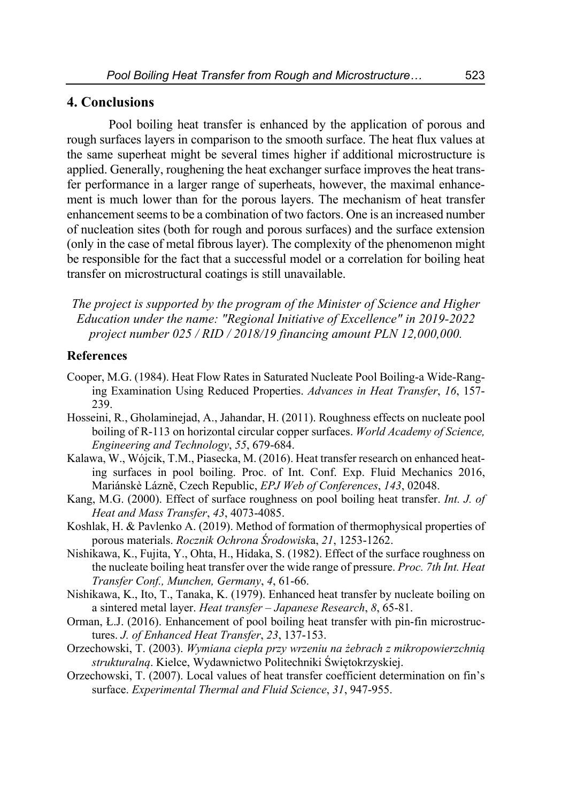## **4. Conclusions**

Pool boiling heat transfer is enhanced by the application of porous and rough surfaces layers in comparison to the smooth surface. The heat flux values at the same superheat might be several times higher if additional microstructure is applied. Generally, roughening the heat exchanger surface improves the heat transfer performance in a larger range of superheats, however, the maximal enhancement is much lower than for the porous layers. The mechanism of heat transfer enhancement seems to be a combination of two factors. One is an increased number of nucleation sites (both for rough and porous surfaces) and the surface extension (only in the case of metal fibrous layer). The complexity of the phenomenon might be responsible for the fact that a successful model or a correlation for boiling heat transfer on microstructural coatings is still unavailable.

*The project is supported by the program of the Minister of Science and Higher Education under the name: "Regional Initiative of Excellence" in 2019-2022 project number 025 / RID / 2018/19 financing amount PLN 12,000,000.* 

### **References**

- Cooper, M.G. (1984). Heat Flow Rates in Saturated Nucleate Pool Boiling-a Wide-Ranging Examination Using Reduced Properties. *Advances in Heat Transfer*, *16*, 157- 239.
- Hosseini, R., Gholaminejad, A., Jahandar, H. (2011). Roughness effects on nucleate pool boiling of R-113 on horizontal circular copper surfaces. *World Academy of Science, Engineering and Technology*, *55*, 679-684.
- Kalawa, W., Wójcik, T.M., Piasecka, M. (2016). Heat transfer research on enhanced heating surfaces in pool boiling. Proc. of Int. Conf. Exp. Fluid Mechanics 2016, Mariánskè Lázně, Czech Republic, *EPJ Web of Conferences*, *143*, 02048.
- Kang, M.G. (2000). Effect of surface roughness on pool boiling heat transfer. *Int. J. of Heat and Mass Transfer*, *43*, 4073-4085.
- Koshlak, H. & Pavlenko A. (2019). Method of formation of thermophysical properties of porous materials. *Rocznik Ochrona Środowisk*a, *21*, 1253-1262.
- Nishikawa, K., Fujita, Y., Ohta, H., Hidaka, S. (1982). Effect of the surface roughness on the nucleate boiling heat transfer over the wide range of pressure. *Proc. 7th Int. Heat Transfer Conf., Munchen, Germany*, *4*, 61-66.
- Nishikawa, K., Ito, T., Tanaka, K. (1979). Enhanced heat transfer by nucleate boiling on a sintered metal layer. *Heat transfer – Japanese Research*, *8*, 65-81.
- Orman, Ł.J. (2016). Enhancement of pool boiling heat transfer with pin-fin microstructures. *J. of Enhanced Heat Transfer*, *23*, 137-153.
- Orzechowski, T. (2003). *Wymiana ciepła przy wrzeniu na żebrach z mikropowierzchnią strukturalną*. Kielce, Wydawnictwo Politechniki Świętokrzyskiej.
- Orzechowski, T. (2007). Local values of heat transfer coefficient determination on fin's surface. *Experimental Thermal and Fluid Science*, *31*, 947-955.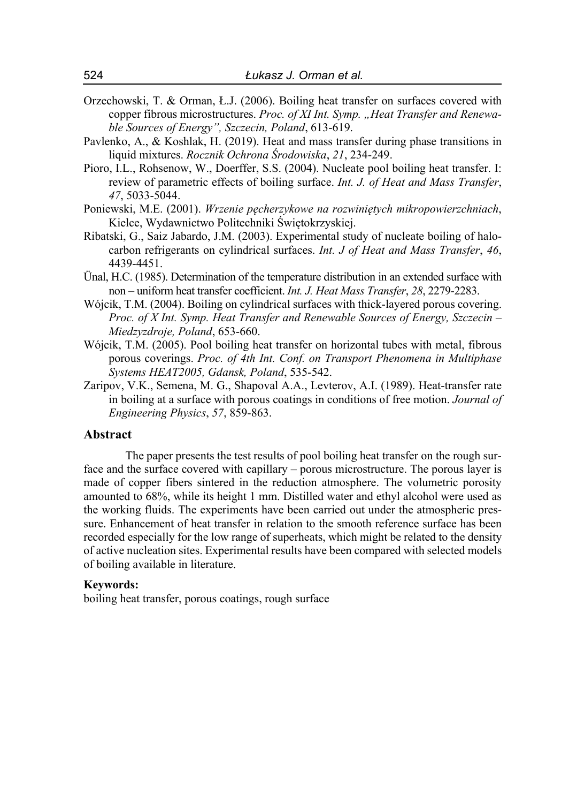- Orzechowski, T. & Orman, Ł.J. (2006). Boiling heat transfer on surfaces covered with copper fibrous microstructures. *Proc. of XI Int. Symp. "Heat Transfer and Renewable Sources of Energy", Szczecin, Poland*, 613-619.
- Pavlenko, A., & Koshlak, H. (2019). Heat and mass transfer during phase transitions in liquid mixtures. *Rocznik Ochrona Środowiska*, *21*, 234-249.
- Pioro, I.L., Rohsenow, W., Doerffer, S.S. (2004). Nucleate pool boiling heat transfer. I: review of parametric effects of boiling surface. *Int. J. of Heat and Mass Transfer*, *47*, 5033-5044.
- Poniewski, M.E. (2001). *Wrzenie pęcherzykowe na rozwiniętych mikropowierzchniach*, Kielce, Wydawnictwo Politechniki Świętokrzyskiej.
- Ribatski, G., Saiz Jabardo, J.M. (2003). Experimental study of nucleate boiling of halocarbon refrigerants on cylindrical surfaces. *Int. J of Heat and Mass Transfer*, *46*, 4439-4451.
- Ünal, H.C. (1985). Determination of the temperature distribution in an extended surface with non – uniform heat transfer coefficient. *Int. J. Heat Mass Transfer*, *28*, 2279-2283.
- Wójcik, T.M. (2004). Boiling on cylindrical surfaces with thick-layered porous covering. *Proc. of X Int. Symp. Heat Transfer and Renewable Sources of Energy, Szczecin – Miedzyzdroje, Poland*, 653-660.
- Wójcik, T.M. (2005). Pool boiling heat transfer on horizontal tubes with metal, fibrous porous coverings. *Proc. of 4th Int. Conf. on Transport Phenomena in Multiphase Systems HEAT2005, Gdansk, Poland*, 535-542.
- Zaripov, V.K., Semena, M. G., Shapoval A.A., Levterov, A.I. (1989). Heat-transfer rate in boiling at a surface with porous coatings in conditions of free motion. *Journal of Engineering Physics*, *57*, 859-863.

#### **Abstract**

The paper presents the test results of pool boiling heat transfer on the rough surface and the surface covered with capillary – porous microstructure. The porous layer is made of copper fibers sintered in the reduction atmosphere. The volumetric porosity amounted to 68%, while its height 1 mm. Distilled water and ethyl alcohol were used as the working fluids. The experiments have been carried out under the atmospheric pressure. Enhancement of heat transfer in relation to the smooth reference surface has been recorded especially for the low range of superheats, which might be related to the density of active nucleation sites. Experimental results have been compared with selected models of boiling available in literature.

#### **Keywords:**

boiling heat transfer, porous coatings, rough surface